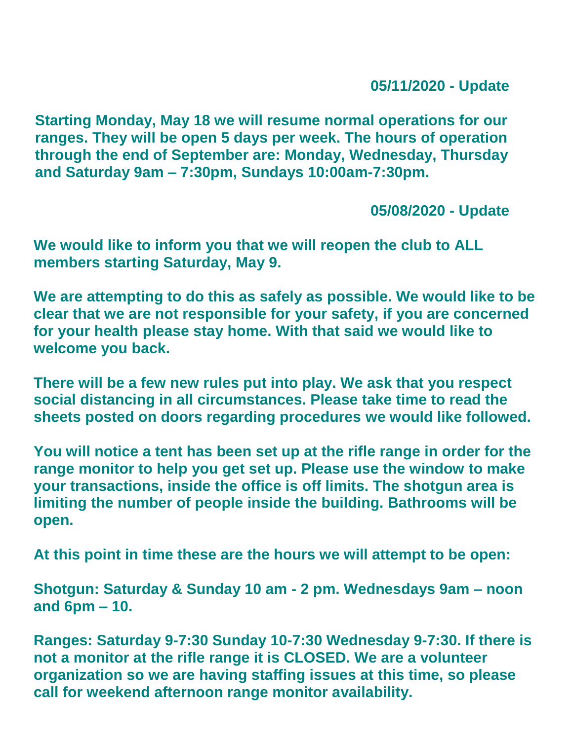**05/11/2020 - Update**

**Starting Monday, May 18 we will resume normal operations for our ranges. They will be open 5 days per week. The hours of operation through the end of September are: Monday, Wednesday, Thursday and Saturday 9am – 7:30pm, Sundays 10:00am-7:30pm.**

**05/08/2020 - Update**

**We would like to inform you that we will reopen the club to ALL members starting Saturday, May 9.**

**We are attempting to do this as safely as possible. We would like to be clear that we are not responsible for your safety, if you are concerned for your health please stay home. With that said we would like to welcome you back.**

**There will be a few new rules put into play. We ask that you respect social distancing in all circumstances. Please take time to read the sheets posted on doors regarding procedures we would like followed.**

**You will notice a tent has been set up at the rifle range in order for the range monitor to help you get set up. Please use the window to make your transactions, inside the office is off limits. The shotgun area is limiting the number of people inside the building. Bathrooms will be open.**

**At this point in time these are the hours we will attempt to be open:**

**Shotgun: Saturday & Sunday 10 am - 2 pm. Wednesdays 9am – noon and 6pm – 10.**

**Ranges: Saturday 9-7:30 Sunday 10-7:30 Wednesday 9-7:30. If there is not a monitor at the rifle range it is CLOSED. We are a volunteer organization so we are having staffing issues at this time, so please call for weekend afternoon range monitor availability.**